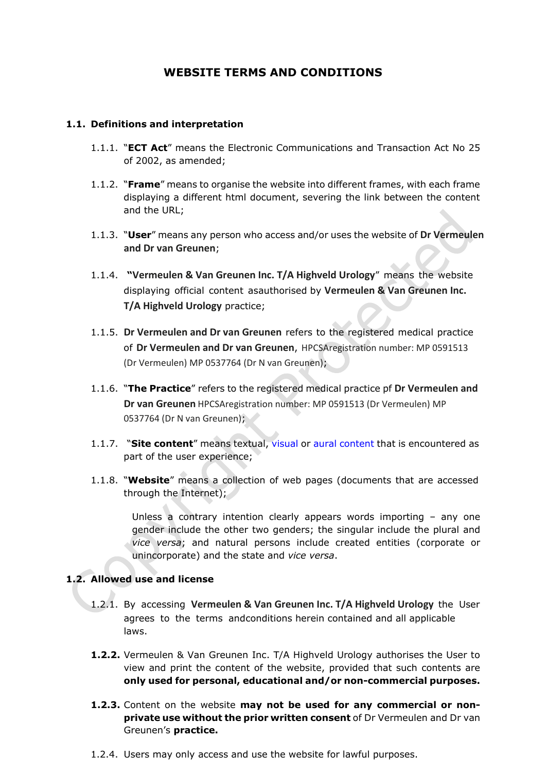# **WEBSITE TERMS AND CONDITIONS**

#### **1.1. Definitions and interpretation**

- 1.1.1. "**ECT Act**" means the Electronic Communications and Transaction Act No 25 of 2002, as amended;
- 1.1.2. "**Frame**" means to organise the website into different frames, with each frame displaying a different html document, severing the link between the content and the URL;
- 1.1.3. "**User**" means any person who access and/or uses the website of **Dr Vermeulen and Dr van Greunen**;
- 1.1.4. **"Vermeulen & Van Greunen Inc. T/A Highveld Urology**" means the website displaying official content asauthorised by **Vermeulen & Van Greunen Inc. T/A Highveld Urology** practice;
- 1.1.5. **Dr Vermeulen and Dr van Greunen** refers to the registered medical practice of **Dr Vermeulen and Dr van Greunen**, HPCSAregistration number: MP 0591513 (Dr Vermeulen) MP 0537764 (Dr N van Greunen);
- 1.1.6. "**The Practice**" refers to the registered medical practice pf **Dr Vermeulen and Dr van Greunen** HPCSAregistration number: MP 0591513 (Dr Vermeulen) MP 0537764 (Dr N van Greunen);
- 1.1.7. "**Site content**" means textual, [visual](http://en.wikipedia.org/wiki/Visual) or [aural](http://en.wikipedia.org/wiki/Aural) [content](http://en.wikipedia.org/wiki/Content_(media_and_publishing)) that is encountered as part of the user experience;
- 1.1.8. "**Website**" means a collection of web pages (documents that are accessed through the Internet);

Unless a contrary intention clearly appears words importing – any one gender include the other two genders; the singular include the plural and *vice versa*; and natural persons include created entities (corporate or unincorporate) and the state and *vice versa*.

## **1.2. Allowed use and license**

- 1.2.1. By accessing **Vermeulen & Van Greunen Inc. T/A Highveld Urology** the User agrees to the terms andconditions herein contained and all applicable laws.
- **1.2.2.** Vermeulen & Van Greunen Inc. T/A Highveld Urology authorises the User to view and print the content of the website, provided that such contents are **only used for personal, educational and/or non-commercial purposes.**
- **1.2.3.** Content on the website **may not be used for any commercial or nonprivate use without the prior written consent** of Dr Vermeulen and Dr van Greunen's **practice.**
- 1.2.4. Users may only access and use the website for lawful purposes.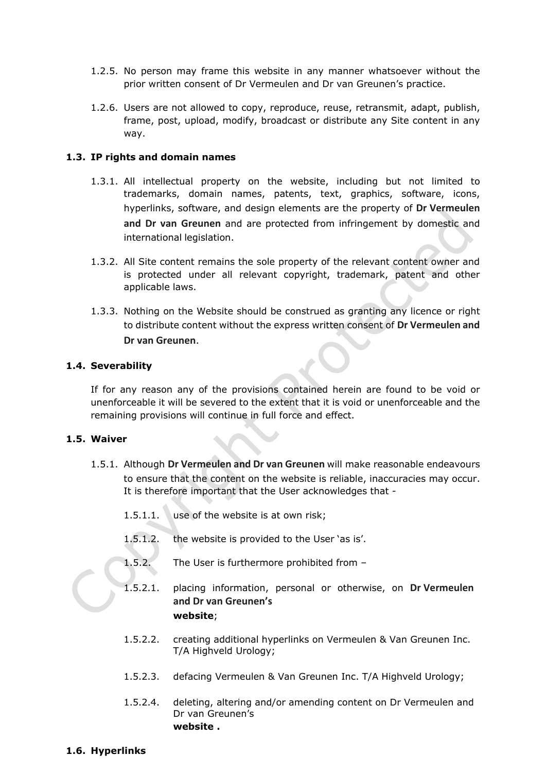- 1.2.5. No person may frame this website in any manner whatsoever without the prior written consent of Dr Vermeulen and Dr van Greunen's practice.
- 1.2.6. Users are not allowed to copy, reproduce, reuse, retransmit, adapt, publish, frame, post, upload, modify, broadcast or distribute any Site content in any way.

#### **1.3. IP rights and domain names**

- 1.3.1. All intellectual property on the website, including but not limited to trademarks, domain names, patents, text, graphics, software, icons, hyperlinks, software, and design elements are the property of **Dr Vermeulen and Dr van Greunen** and are protected from infringement by domestic and international legislation.
- 1.3.2. All Site content remains the sole property of the relevant content owner and is protected under all relevant copyright, trademark, patent and other applicable laws.
- 1.3.3. Nothing on the Website should be construed as granting any licence or right to distribute content without the express written consent of **Dr Vermeulen and Dr van Greunen**.

#### **1.4. Severability**

If for any reason any of the provisions contained herein are found to be void or unenforceable it will be severed to the extent that it is void or unenforceable and the remaining provisions will continue in full force and effect.

## **1.5. Waiver**

- 1.5.1. Although **Dr Vermeulen and Dr van Greunen** will make reasonable endeavours to ensure that the content on the website is reliable, inaccuracies may occur. It is therefore important that the User acknowledges that -
	- 1.5.1.1. use of the website is at own risk;
	- 1.5.1.2. the website is provided to the User 'as is'.
	- 1.5.2. The User is furthermore prohibited from –
	- 1.5.2.1. placing information, personal or otherwise, on **Dr Vermeulen and Dr van Greunen's website**;
	- 1.5.2.2. creating additional hyperlinks on Vermeulen & Van Greunen Inc. T/A Highveld Urology;
	- 1.5.2.3. defacing Vermeulen & Van Greunen Inc. T/A Highveld Urology;
	- 1.5.2.4. deleting, altering and/or amending content on Dr Vermeulen and Dr van Greunen's **website .**

## **1.6. Hyperlinks**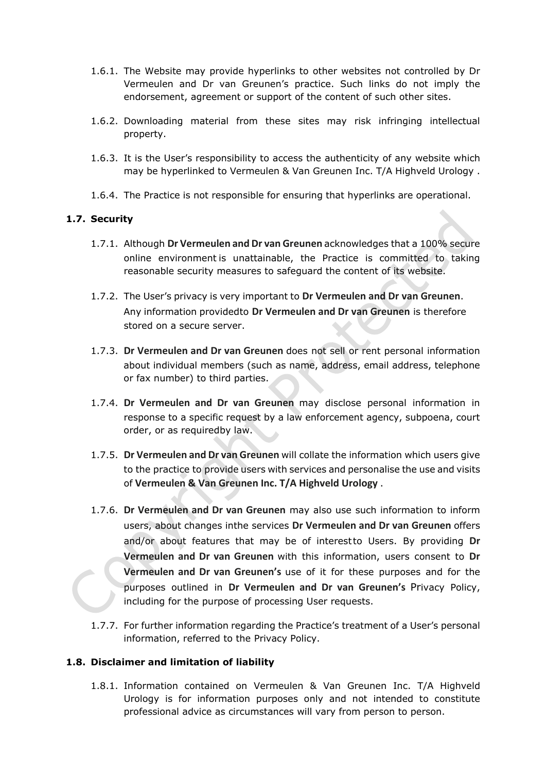- 1.6.1. The Website may provide hyperlinks to other websites not controlled by Dr Vermeulen and Dr van Greunen's practice. Such links do not imply the endorsement, agreement or support of the content of such other sites.
- 1.6.2. Downloading material from these sites may risk infringing intellectual property.
- 1.6.3. It is the User's responsibility to access the authenticity of any website which may be hyperlinked to Vermeulen & Van Greunen Inc. T/A Highveld Urology .
- 1.6.4. The Practice is not responsible for ensuring that hyperlinks are operational.

## **1.7. Security**

- 1.7.1. Although **Dr Vermeulen and Dr van Greunen** acknowledges that a 100% secure online environment is unattainable, the Practice is committed to taking reasonable security measures to safeguard the content of its website.
- 1.7.2. The User's privacy is very important to **Dr Vermeulen and Dr van Greunen**. Any information providedto **Dr Vermeulen and Dr van Greunen** is therefore stored on a secure server.
- 1.7.3. **Dr Vermeulen and Dr van Greunen** does not sell or rent personal information about individual members (such as name, address, email address, telephone or fax number) to third parties.
- 1.7.4. **Dr Vermeulen and Dr van Greunen** may disclose personal information in response to a specific request by a law enforcement agency, subpoena, court order, or as requiredby law.
- 1.7.5. **Dr Vermeulen and Dr van Greunen** will collate the information which users give to the practice to provide users with services and personalise the use and visits of **Vermeulen & Van Greunen Inc. T/A Highveld Urology** .
- 1.7.6. **Dr Vermeulen and Dr van Greunen** may also use such information to inform users, about changes inthe services **Dr Vermeulen and Dr van Greunen** offers and/or about features that may be of interestto Users. By providing **Dr Vermeulen and Dr van Greunen** with this information, users consent to **Dr Vermeulen and Dr van Greunen's** use of it for these purposes and for the purposes outlined in **Dr Vermeulen and Dr van Greunen's** Privacy Policy, including for the purpose of processing User requests.
- 1.7.7. For further information regarding the Practice's treatment of a User's personal information, referred to the [Privacy](http://www.checkers.co.za/pages/198763778/Privacy-Policy.asp) Policy.

## **1.8. Disclaimer and limitation of liability**

1.8.1. Information contained on Vermeulen & Van Greunen Inc. T/A Highveld Urology is for information purposes only and not intended to constitute professional advice as circumstances will vary from person to person.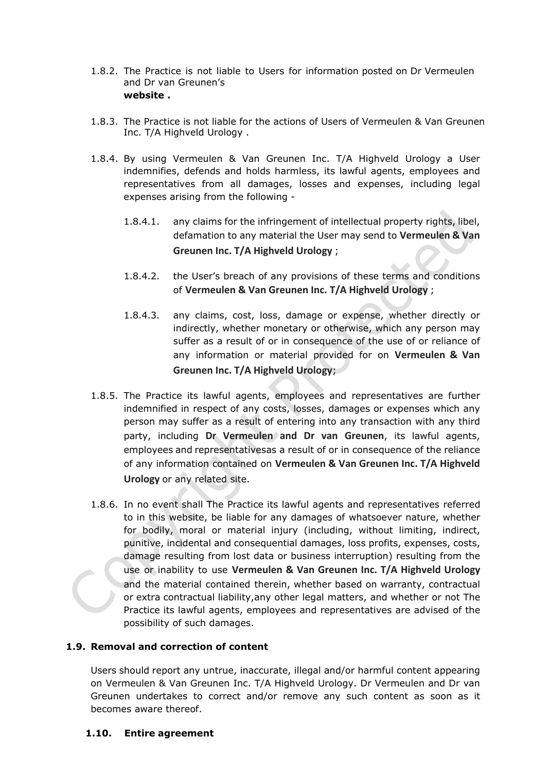- 1.8.2. The Practice is not liable to Users for information posted on Dr Vermeulen and Dr van Greunen's **website .**
- 1.8.3. The Practice is not liable for the actions of Users of Vermeulen & Van Greunen Inc. T/A Highveld Urology .
- 1.8.4. By using Vermeulen & Van Greunen Inc. T/A Highveld Urology a User indemnifies, defends and holds harmless, its lawful agents, employees and representatives from all damages, losses and expenses, including legal expenses arising from the following -
	- 1.8.4.1. any claims for the infringement of intellectual property rights, libel, defamation to any material the User may send to **Vermeulen & Van Greunen Inc. T/A Highveld Urology** ;
	- 1.8.4.2. the User's breach of any provisions of these terms and conditions of **Vermeulen & Van Greunen Inc. T/A Highveld Urology** ;
	- 1.8.4.3. any claims, cost, loss, damage or expense, whether directly or indirectly, whether monetary or otherwise, which any person may suffer as a result of or in consequence of the use of or reliance of any information or material provided for on **Vermeulen & Van Greunen Inc. T/A Highveld Urology**;
- 1.8.5. The Practice its lawful agents, employees and representatives are further indemnified in respect of any costs, losses, damages or expenses which any person may suffer as a result of entering into any transaction with any third party, including **Dr Vermeulen and Dr van Greunen**, its lawful agents, employees and representativesas a result of or in consequence of the reliance of any information contained on **Vermeulen & Van Greunen Inc. T/A Highveld Urology** or any related site.
- 1.8.6. In no event shall The Practice its lawful agents and representatives referred to in this website, be liable for any damages of whatsoever nature, whether for bodily, moral or material injury (including, without limiting, indirect, punitive, incidental and consequential damages, loss profits, expenses, costs, damage resulting from lost data or business interruption) resulting from the use or inability to use **Vermeulen & Van Greunen Inc. T/A Highveld Urology** and the material contained therein, whether based on warranty, contractual or extra contractual liability,any other legal matters, and whether or not The Practice its lawful agents, employees and representatives are advised of the possibility of such damages.

## **1.9. Removal and correction of content**

Users should report any untrue, inaccurate, illegal and/or harmful content appearing on Vermeulen & Van Greunen Inc. T/A Highveld Urology. Dr Vermeulen and Dr van Greunen undertakes to correct and/or remove any such content as soon as it becomes aware thereof.

## **1.10. Entire agreement**